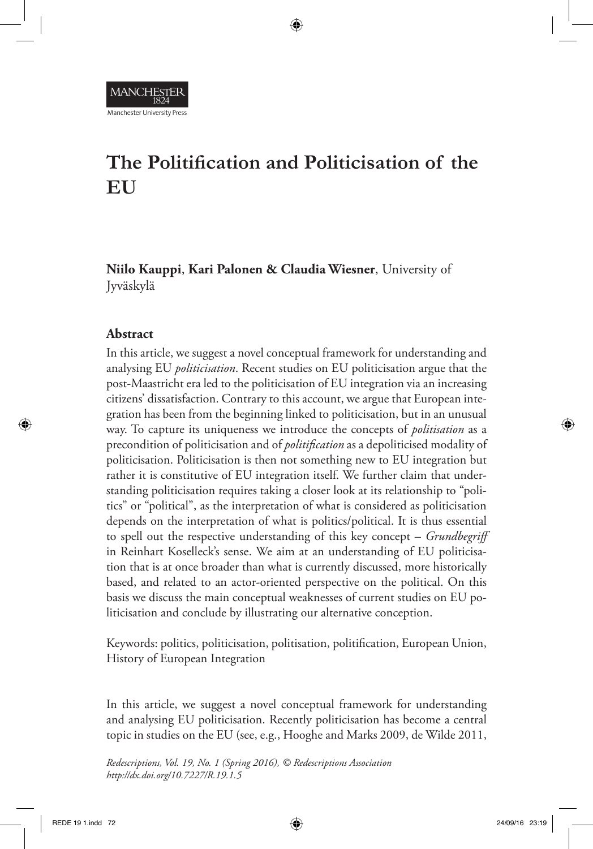# **The Politification and Politicisation of the EU**

⊕

**Niilo Kauppi**, **Kari Palonen & Claudia Wiesner**, University of Jyväskylä

### **Abstract**

⊕

Manchester University Press

In this article, we suggest a novel conceptual framework for understanding and analysing EU *politicisation*. Recent studies on EU politicisation argue that the post-Maastricht era led to the politicisation of EU integration via an increasing citizens' dissatisfaction. Contrary to this account, we argue that European integration has been from the beginning linked to politicisation, but in an unusual way. To capture its uniqueness we introduce the concepts of *politisation* as a precondition of politicisation and of *politification* as a depoliticised modality of politicisation. Politicisation is then not something new to EU integration but rather it is constitutive of EU integration itself. We further claim that understanding politicisation requires taking a closer look at its relationship to "politics" or "political", as the interpretation of what is considered as politicisation depends on the interpretation of what is politics/political. It is thus essential to spell out the respective understanding of this key concept – *Grundbegriff* in Reinhart Koselleck's sense. We aim at an understanding of EU politicisation that is at once broader than what is currently discussed, more historically based, and related to an actor-oriented perspective on the political. On this basis we discuss the main conceptual weaknesses of current studies on EU politicisation and conclude by illustrating our alternative conception.

Keywords: politics, politicisation, politisation, politification, European Union, History of European Integration

In this article, we suggest a novel conceptual framework for understanding and analysing EU politicisation. Recently politicisation has become a central topic in studies on the EU (see, e.g., Hooghe and Marks 2009, de Wilde 2011,

*Redescriptions, Vol. 19, No. 1 (Spring 2016), © Redescriptions Association http://dx.doi.org/10.7227/R.19.1.5*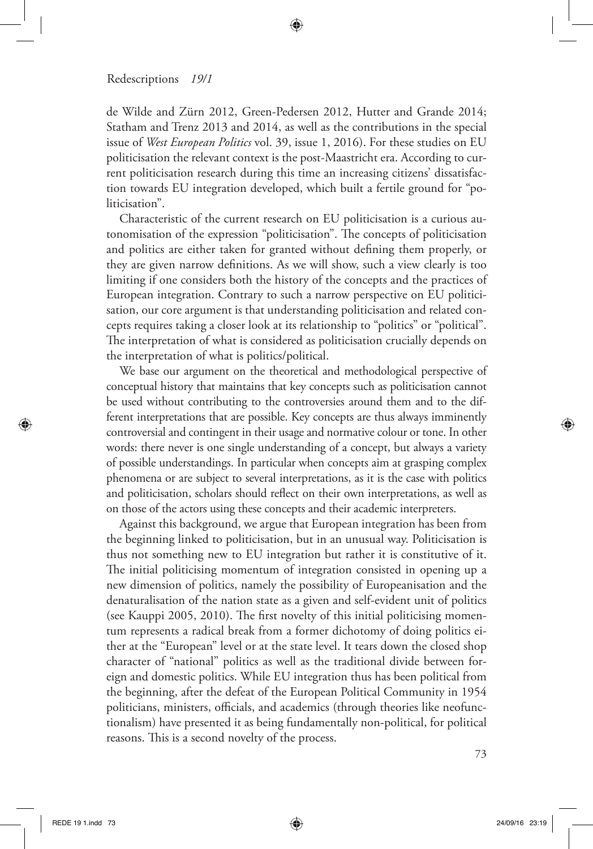# ⊕

#### Redescriptions *19/1*

de Wilde and Zürn 2012, Green-Pedersen 2012, Hutter and Grande 2014; Statham and Trenz 2013 and 2014, as well as the contributions in the special issue of *West European Politics* vol. 39, issue 1, 2016). For these studies on EU politicisation the relevant context is the post-Maastricht era. According to current politicisation research during this time an increasing citizens' dissatisfaction towards EU integration developed, which built a fertile ground for "politicisation".

Characteristic of the current research on EU politicisation is a curious autonomisation of the expression "politicisation". The concepts of politicisation and politics are either taken for granted without defining them properly, or they are given narrow definitions. As we will show, such a view clearly is too limiting if one considers both the history of the concepts and the practices of European integration. Contrary to such a narrow perspective on EU politicisation, our core argument is that understanding politicisation and related concepts requires taking a closer look at its relationship to "politics" or "political". The interpretation of what is considered as politicisation crucially depends on the interpretation of what is politics/political.

We base our argument on the theoretical and methodological perspective of conceptual history that maintains that key concepts such as politicisation cannot be used without contributing to the controversies around them and to the different interpretations that are possible. Key concepts are thus always imminently controversial and contingent in their usage and normative colour or tone. In other words: there never is one single understanding of a concept, but always a variety of possible understandings. In particular when concepts aim at grasping complex phenomena or are subject to several interpretations, as it is the case with politics and politicisation, scholars should reflect on their own interpretations, as well as on those of the actors using these concepts and their academic interpreters.

Against this background, we argue that European integration has been from the beginning linked to politicisation, but in an unusual way. Politicisation is thus not something new to EU integration but rather it is constitutive of it. The initial politicising momentum of integration consisted in opening up a new dimension of politics, namely the possibility of Europeanisation and the denaturalisation of the nation state as a given and self-evident unit of politics (see Kauppi 2005, 2010). The first novelty of this initial politicising momentum represents a radical break from a former dichotomy of doing politics either at the "European" level or at the state level. It tears down the closed shop character of "national" politics as well as the traditional divide between foreign and domestic politics. While EU integration thus has been political from the beginning, after the defeat of the European Political Community in 1954 politicians, ministers, officials, and academics (through theories like neofunctionalism) have presented it as being fundamentally non-political, for political reasons. This is a second novelty of the process.

⊕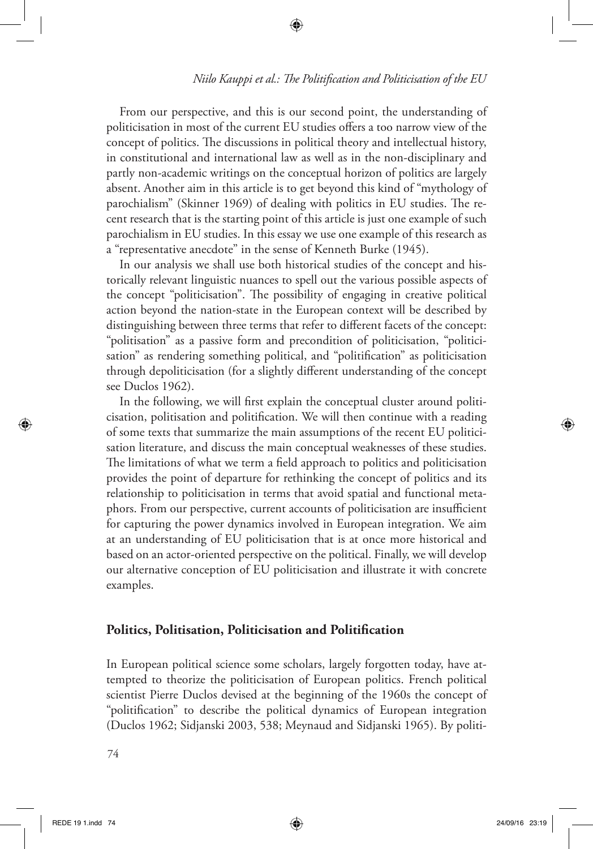## *Niilo Kauppi et al.: The Politification and Politicisation of the EU*

From our perspective, and this is our second point, the understanding of politicisation in most of the current EU studies offers a too narrow view of the concept of politics. The discussions in political theory and intellectual history, in constitutional and international law as well as in the non-disciplinary and partly non-academic writings on the conceptual horizon of politics are largely absent. Another aim in this article is to get beyond this kind of "mythology of parochialism" (Skinner 1969) of dealing with politics in EU studies. The recent research that is the starting point of this article is just one example of such parochialism in EU studies. In this essay we use one example of this research as a "representative anecdote" in the sense of Kenneth Burke (1945).

⊕

In our analysis we shall use both historical studies of the concept and historically relevant linguistic nuances to spell out the various possible aspects of the concept "politicisation". The possibility of engaging in creative political action beyond the nation-state in the European context will be described by distinguishing between three terms that refer to different facets of the concept: "politisation" as a passive form and precondition of politicisation, "politicisation" as rendering something political, and "politification" as politicisation through depoliticisation (for a slightly different understanding of the concept see Duclos 1962).

In the following, we will first explain the conceptual cluster around politicisation, politisation and politification. We will then continue with a reading of some texts that summarize the main assumptions of the recent EU politicisation literature, and discuss the main conceptual weaknesses of these studies. The limitations of what we term a field approach to politics and politicisation provides the point of departure for rethinking the concept of politics and its relationship to politicisation in terms that avoid spatial and functional metaphors. From our perspective, current accounts of politicisation are insufficient for capturing the power dynamics involved in European integration. We aim at an understanding of EU politicisation that is at once more historical and based on an actor-oriented perspective on the political. Finally, we will develop our alternative conception of EU politicisation and illustrate it with concrete examples.

### **Politics, Politisation, Politicisation and Politification**

In European political science some scholars, largely forgotten today, have attempted to theorize the politicisation of European politics. French political scientist Pierre Duclos devised at the beginning of the 1960s the concept of "politification" to describe the political dynamics of European integration (Duclos 1962; Sidjanski 2003, 538; Meynaud and Sidjanski 1965). By politi-

74

⊕

↔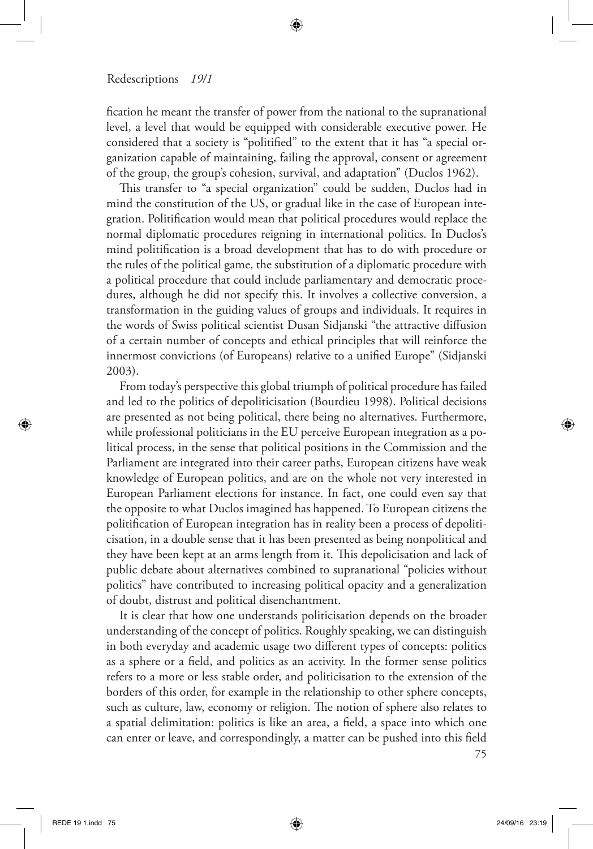fication he meant the transfer of power from the national to the supranational level, a level that would be equipped with considerable executive power. He considered that a society is "politified" to the extent that it has "a special organization capable of maintaining, failing the approval, consent or agreement of the group, the group's cohesion, survival, and adaptation" (Duclos 1962).

↔

This transfer to "a special organization" could be sudden, Duclos had in mind the constitution of the US, or gradual like in the case of European integration. Politification would mean that political procedures would replace the normal diplomatic procedures reigning in international politics. In Duclos's mind politification is a broad development that has to do with procedure or the rules of the political game, the substitution of a diplomatic procedure with a political procedure that could include parliamentary and democratic procedures, although he did not specify this. It involves a collective conversion, a transformation in the guiding values of groups and individuals. It requires in the words of Swiss political scientist Dusan Sidjanski "the attractive diffusion of a certain number of concepts and ethical principles that will reinforce the innermost convictions (of Europeans) relative to a unified Europe" (Sidjanski 2003).

From today's perspective this global triumph of political procedure has failed and led to the politics of depoliticisation (Bourdieu 1998). Political decisions are presented as not being political, there being no alternatives. Furthermore, while professional politicians in the EU perceive European integration as a political process, in the sense that political positions in the Commission and the Parliament are integrated into their career paths, European citizens have weak knowledge of European politics, and are on the whole not very interested in European Parliament elections for instance. In fact, one could even say that the opposite to what Duclos imagined has happened. To European citizens the politification of European integration has in reality been a process of depoliticisation, in a double sense that it has been presented as being nonpolitical and they have been kept at an arms length from it. This depolicisation and lack of public debate about alternatives combined to supranational "policies without politics" have contributed to increasing political opacity and a generalization of doubt, distrust and political disenchantment.

It is clear that how one understands politicisation depends on the broader understanding of the concept of politics. Roughly speaking, we can distinguish in both everyday and academic usage two different types of concepts: politics as a sphere or a field, and politics as an activity. In the former sense politics refers to a more or less stable order, and politicisation to the extension of the borders of this order, for example in the relationship to other sphere concepts, such as culture, law, economy or religion. The notion of sphere also relates to a spatial delimitation: politics is like an area, a field, a space into which one can enter or leave, and correspondingly, a matter can be pushed into this field

75

⊕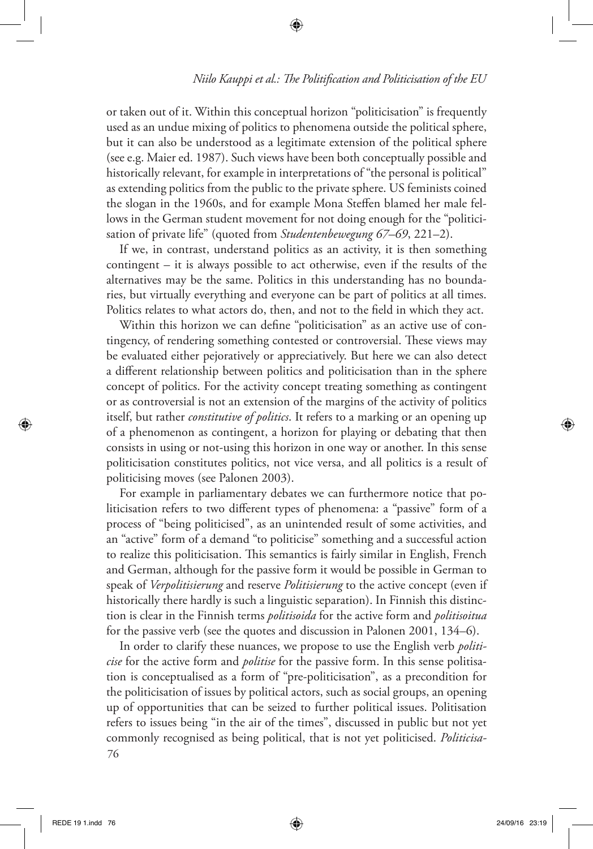or taken out of it. Within this conceptual horizon "politicisation" is frequently used as an undue mixing of politics to phenomena outside the political sphere, but it can also be understood as a legitimate extension of the political sphere (see e.g. Maier ed. 1987). Such views have been both conceptually possible and historically relevant, for example in interpretations of "the personal is political" as extending politics from the public to the private sphere. US feminists coined the slogan in the 1960s, and for example Mona Steffen blamed her male fellows in the German student movement for not doing enough for the "politicisation of private life" (quoted from *Studentenbewegung 67–69*, 221–2).

⊕

If we, in contrast, understand politics as an activity, it is then something contingent – it is always possible to act otherwise, even if the results of the alternatives may be the same. Politics in this understanding has no boundaries, but virtually everything and everyone can be part of politics at all times. Politics relates to what actors do, then, and not to the field in which they act.

Within this horizon we can define "politicisation" as an active use of contingency, of rendering something contested or controversial. These views may be evaluated either pejoratively or appreciatively. But here we can also detect a different relationship between politics and politicisation than in the sphere concept of politics. For the activity concept treating something as contingent or as controversial is not an extension of the margins of the activity of politics itself, but rather *constitutive of politics*. It refers to a marking or an opening up of a phenomenon as contingent, a horizon for playing or debating that then consists in using or not-using this horizon in one way or another. In this sense politicisation constitutes politics, not vice versa, and all politics is a result of politicising moves (see Palonen 2003).

For example in parliamentary debates we can furthermore notice that politicisation refers to two different types of phenomena: a "passive" form of a process of "being politicised", as an unintended result of some activities, and an "active" form of a demand "to politicise" something and a successful action to realize this politicisation. This semantics is fairly similar in English, French and German, although for the passive form it would be possible in German to speak of *Verpolitisierung* and reserve *Politisierung* to the active concept (even if historically there hardly is such a linguistic separation). In Finnish this distinction is clear in the Finnish terms *politisoida* for the active form and *politisoitua*  for the passive verb (see the quotes and discussion in Palonen 2001, 134–6).

76 In order to clarify these nuances, we propose to use the English verb *politicise* for the active form and *politise* for the passive form. In this sense politisation is conceptualised as a form of "pre-politicisation", as a precondition for the politicisation of issues by political actors, such as social groups, an opening up of opportunities that can be seized to further political issues. Politisation refers to issues being "in the air of the times", discussed in public but not yet commonly recognised as being political, that is not yet politicised. *Politicisa-*

⊕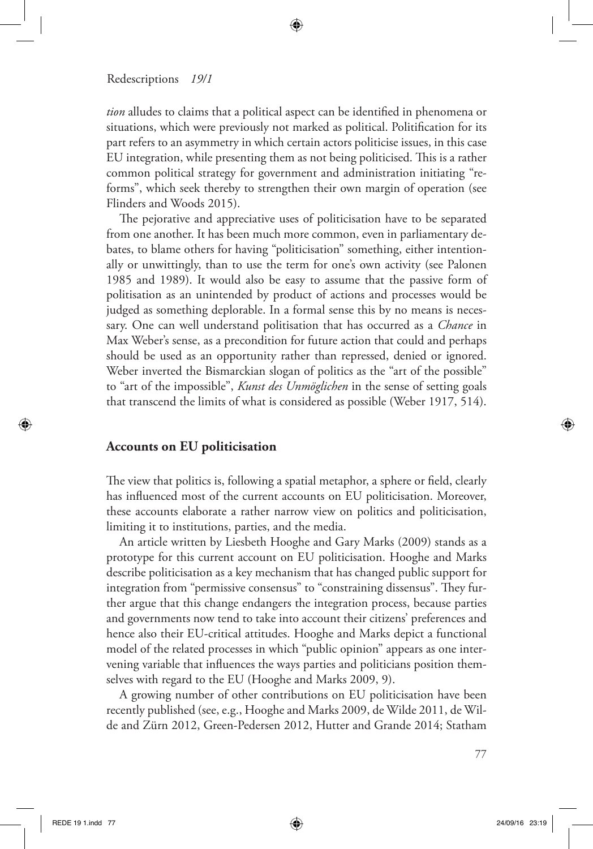*tion* alludes to claims that a political aspect can be identified in phenomena or situations, which were previously not marked as political. Politification for its part refers to an asymmetry in which certain actors politicise issues, in this case EU integration, while presenting them as not being politicised. This is a rather common political strategy for government and administration initiating "reforms", which seek thereby to strengthen their own margin of operation (see Flinders and Woods 2015).

⊕

The pejorative and appreciative uses of politicisation have to be separated from one another. It has been much more common, even in parliamentary debates, to blame others for having "politicisation" something, either intentionally or unwittingly, than to use the term for one's own activity (see Palonen 1985 and 1989). It would also be easy to assume that the passive form of politisation as an unintended by product of actions and processes would be judged as something deplorable. In a formal sense this by no means is necessary. One can well understand politisation that has occurred as a *Chance* in Max Weber's sense, as a precondition for future action that could and perhaps should be used as an opportunity rather than repressed, denied or ignored. Weber inverted the Bismarckian slogan of politics as the "art of the possible" to "art of the impossible", *Kunst des Unmöglichen* in the sense of setting goals that transcend the limits of what is considered as possible (Weber 1917, 514).

## **Accounts on EU politicisation**

The view that politics is, following a spatial metaphor, a sphere or field, clearly has influenced most of the current accounts on EU politicisation. Moreover, these accounts elaborate a rather narrow view on politics and politicisation, limiting it to institutions, parties, and the media.

An article written by Liesbeth Hooghe and Gary Marks (2009) stands as a prototype for this current account on EU politicisation. Hooghe and Marks describe politicisation as a key mechanism that has changed public support for integration from "permissive consensus" to "constraining dissensus". They further argue that this change endangers the integration process, because parties and governments now tend to take into account their citizens' preferences and hence also their EU-critical attitudes. Hooghe and Marks depict a functional model of the related processes in which "public opinion" appears as one intervening variable that influences the ways parties and politicians position themselves with regard to the EU (Hooghe and Marks 2009, 9).

A growing number of other contributions on EU politicisation have been recently published (see, e.g., Hooghe and Marks 2009, de Wilde 2011, de Wilde and Zürn 2012, Green-Pedersen 2012, Hutter and Grande 2014; Statham

77

⊕

↔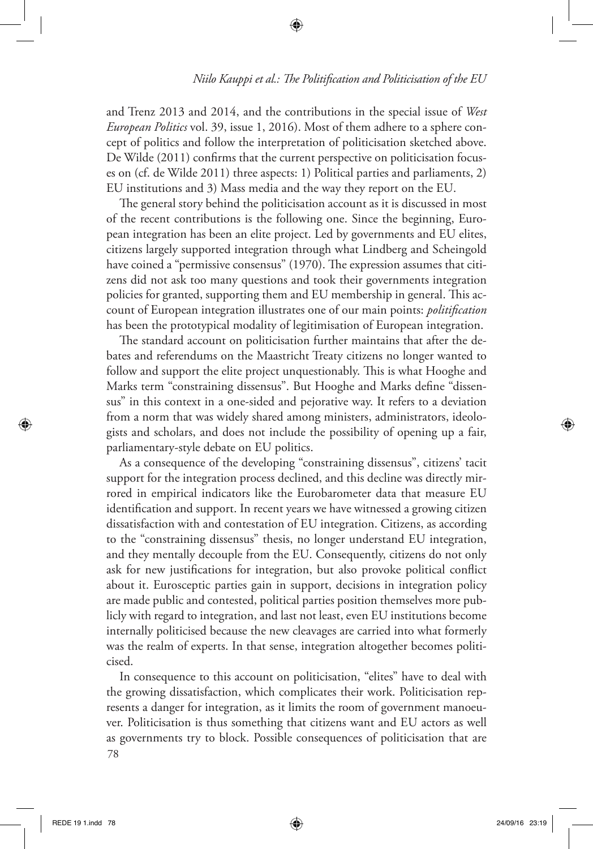## *Niilo Kauppi et al.: The Politification and Politicisation of the EU*

and Trenz 2013 and 2014, and the contributions in the special issue of *West European Politics* vol. 39, issue 1, 2016). Most of them adhere to a sphere concept of politics and follow the interpretation of politicisation sketched above. De Wilde (2011) confirms that the current perspective on politicisation focuses on (cf. de Wilde 2011) three aspects: 1) Political parties and parliaments, 2) EU institutions and 3) Mass media and the way they report on the EU.

⊕

The general story behind the politicisation account as it is discussed in most of the recent contributions is the following one. Since the beginning, European integration has been an elite project. Led by governments and EU elites, citizens largely supported integration through what Lindberg and Scheingold have coined a "permissive consensus" (1970). The expression assumes that citizens did not ask too many questions and took their governments integration policies for granted, supporting them and EU membership in general. This account of European integration illustrates one of our main points: *politification* has been the prototypical modality of legitimisation of European integration.

The standard account on politicisation further maintains that after the debates and referendums on the Maastricht Treaty citizens no longer wanted to follow and support the elite project unquestionably. This is what Hooghe and Marks term "constraining dissensus". But Hooghe and Marks define "dissensus" in this context in a one-sided and pejorative way. It refers to a deviation from a norm that was widely shared among ministers, administrators, ideologists and scholars, and does not include the possibility of opening up a fair, parliamentary-style debate on EU politics.

As a consequence of the developing "constraining dissensus", citizens' tacit support for the integration process declined, and this decline was directly mirrored in empirical indicators like the Eurobarometer data that measure EU identification and support. In recent years we have witnessed a growing citizen dissatisfaction with and contestation of EU integration. Citizens, as according to the "constraining dissensus" thesis, no longer understand EU integration, and they mentally decouple from the EU. Consequently, citizens do not only ask for new justifications for integration, but also provoke political conflict about it. Eurosceptic parties gain in support, decisions in integration policy are made public and contested, political parties position themselves more publicly with regard to integration, and last not least, even EU institutions become internally politicised because the new cleavages are carried into what formerly was the realm of experts. In that sense, integration altogether becomes politicised.

78 In consequence to this account on politicisation, "elites" have to deal with the growing dissatisfaction, which complicates their work. Politicisation represents a danger for integration, as it limits the room of government manoeuver. Politicisation is thus something that citizens want and EU actors as well as governments try to block. Possible consequences of politicisation that are

⊕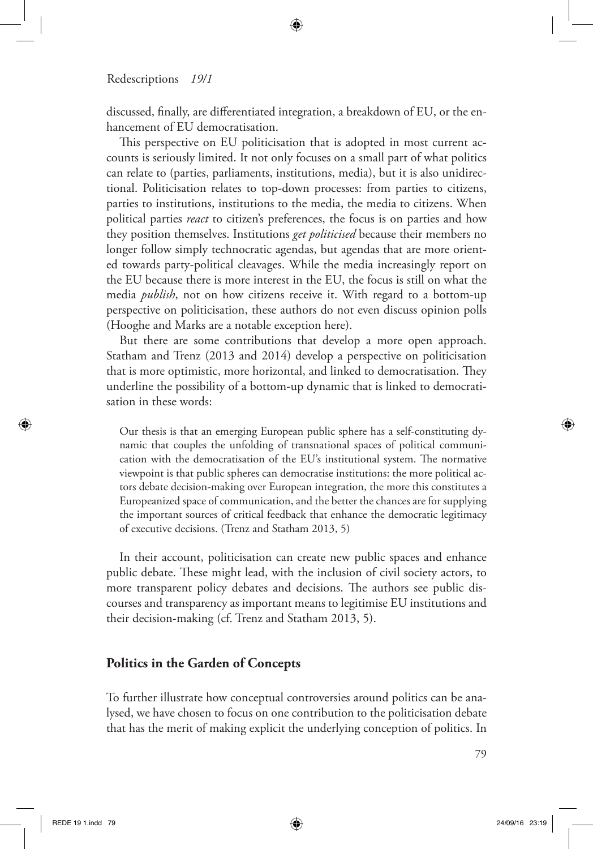discussed, finally, are differentiated integration, a breakdown of EU, or the enhancement of EU democratisation.

⊕

This perspective on EU politicisation that is adopted in most current accounts is seriously limited. It not only focuses on a small part of what politics can relate to (parties, parliaments, institutions, media), but it is also unidirectional. Politicisation relates to top-down processes: from parties to citizens, parties to institutions, institutions to the media, the media to citizens. When political parties *react* to citizen's preferences, the focus is on parties and how they position themselves. Institutions *get politicised* because their members no longer follow simply technocratic agendas, but agendas that are more oriented towards party-political cleavages. While the media increasingly report on the EU because there is more interest in the EU, the focus is still on what the media *publish*, not on how citizens receive it. With regard to a bottom-up perspective on politicisation, these authors do not even discuss opinion polls (Hooghe and Marks are a notable exception here).

But there are some contributions that develop a more open approach. Statham and Trenz (2013 and 2014) develop a perspective on politicisation that is more optimistic, more horizontal, and linked to democratisation. They underline the possibility of a bottom-up dynamic that is linked to democratisation in these words:

Our thesis is that an emerging European public sphere has a self-constituting dynamic that couples the unfolding of transnational spaces of political communication with the democratisation of the EU's institutional system. The normative viewpoint is that public spheres can democratise institutions: the more political actors debate decision-making over European integration, the more this constitutes a Europeanized space of communication, and the better the chances are for supplying the important sources of critical feedback that enhance the democratic legitimacy of executive decisions. (Trenz and Statham 2013, 5)

In their account, politicisation can create new public spaces and enhance public debate. These might lead, with the inclusion of civil society actors, to more transparent policy debates and decisions. The authors see public discourses and transparency as important means to legitimise EU institutions and their decision-making (cf. Trenz and Statham 2013, 5).

## **Politics in the Garden of Concepts**

To further illustrate how conceptual controversies around politics can be analysed, we have chosen to focus on one contribution to the politicisation debate that has the merit of making explicit the underlying conception of politics. In

⊕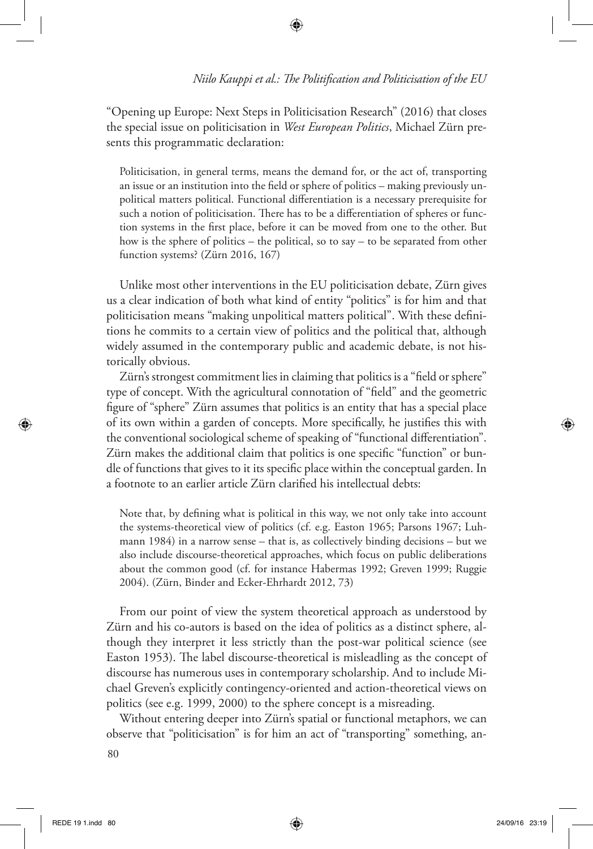"Opening up Europe: Next Steps in Politicisation Research" (2016) that closes the special issue on politicisation in *West European Politics*, Michael Zürn presents this programmatic declaration:

Politicisation, in general terms, means the demand for, or the act of, transporting an issue or an institution into the field or sphere of politics – making previously unpolitical matters political. Functional differentiation is a necessary prerequisite for such a notion of politicisation. There has to be a differentiation of spheres or function systems in the first place, before it can be moved from one to the other. But how is the sphere of politics – the political, so to say – to be separated from other function systems? (Zürn 2016, 167)

Unlike most other interventions in the EU politicisation debate, Zürn gives us a clear indication of both what kind of entity "politics" is for him and that politicisation means "making unpolitical matters political". With these definitions he commits to a certain view of politics and the political that, although widely assumed in the contemporary public and academic debate, is not historically obvious.

Zürn's strongest commitment lies in claiming that politics is a "field or sphere" type of concept. With the agricultural connotation of "field" and the geometric figure of "sphere" Zürn assumes that politics is an entity that has a special place of its own within a garden of concepts. More specifically, he justifies this with the conventional sociological scheme of speaking of "functional differentiation". Zürn makes the additional claim that politics is one specific "function" or bundle of functions that gives to it its specific place within the conceptual garden. In a footnote to an earlier article Zürn clarified his intellectual debts:

Note that, by defining what is political in this way, we not only take into account the systems-theoretical view of politics (cf. e.g. Easton 1965; Parsons 1967; Luhmann 1984) in a narrow sense – that is, as collectively binding decisions – but we also include discourse-theoretical approaches, which focus on public deliberations about the common good (cf. for instance Habermas 1992; Greven 1999; Ruggie 2004). (Zürn, Binder and Ecker-Ehrhardt 2012, 73)

From our point of view the system theoretical approach as understood by Zürn and his co-autors is based on the idea of politics as a distinct sphere, although they interpret it less strictly than the post-war political science (see Easton 1953). The label discourse-theoretical is misleadling as the concept of discourse has numerous uses in contemporary scholarship. And to include Michael Greven's explicitly contingency-oriented and action-theoretical views on politics (see e.g. 1999, 2000) to the sphere concept is a misreading.

Without entering deeper into Zürn's spatial or functional metaphors, we can observe that "politicisation" is for him an act of "transporting" something, an-

80

⊕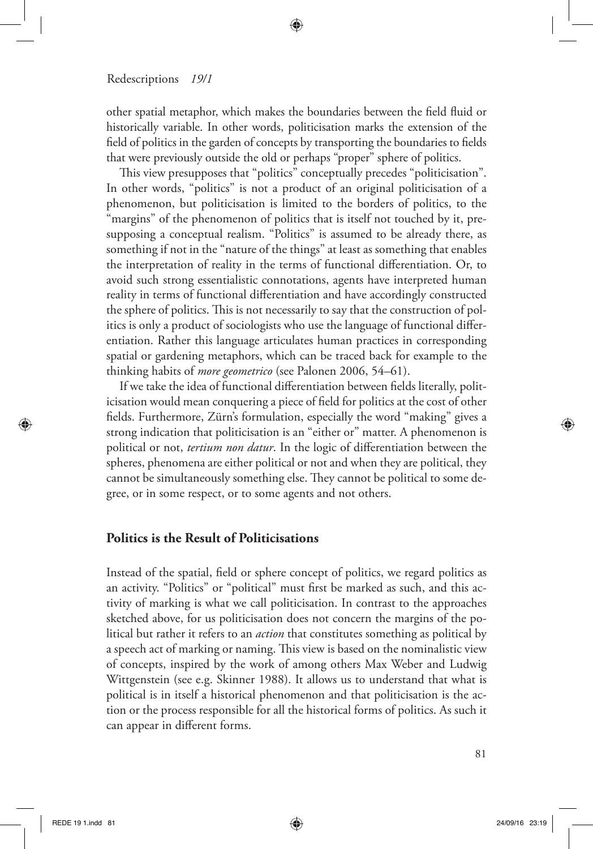other spatial metaphor, which makes the boundaries between the field fluid or historically variable. In other words, politicisation marks the extension of the field of politics in the garden of concepts by transporting the boundaries to fields that were previously outside the old or perhaps "proper" sphere of politics.

⊕

This view presupposes that "politics" conceptually precedes "politicisation". In other words, "politics" is not a product of an original politicisation of a phenomenon, but politicisation is limited to the borders of politics, to the "margins" of the phenomenon of politics that is itself not touched by it, presupposing a conceptual realism. "Politics" is assumed to be already there, as something if not in the "nature of the things" at least as something that enables the interpretation of reality in the terms of functional differentiation. Or, to avoid such strong essentialistic connotations, agents have interpreted human reality in terms of functional differentiation and have accordingly constructed the sphere of politics. This is not necessarily to say that the construction of politics is only a product of sociologists who use the language of functional differentiation. Rather this language articulates human practices in corresponding spatial or gardening metaphors, which can be traced back for example to the thinking habits of *more geometrico* (see Palonen 2006, 54–61).

If we take the idea of functional differentiation between fields literally, politicisation would mean conquering a piece of field for politics at the cost of other fields. Furthermore, Zürn's formulation, especially the word "making" gives a strong indication that politicisation is an "either or" matter. A phenomenon is political or not, *tertium non datur*. In the logic of differentiation between the spheres, phenomena are either political or not and when they are political, they cannot be simultaneously something else. They cannot be political to some degree, or in some respect, or to some agents and not others.

## **Politics is the Result of Politicisations**

Instead of the spatial, field or sphere concept of politics, we regard politics as an activity. "Politics" or "political" must first be marked as such, and this activity of marking is what we call politicisation. In contrast to the approaches sketched above, for us politicisation does not concern the margins of the political but rather it refers to an *action* that constitutes something as political by a speech act of marking or naming. This view is based on the nominalistic view of concepts, inspired by the work of among others Max Weber and Ludwig Wittgenstein (see e.g. Skinner 1988). It allows us to understand that what is political is in itself a historical phenomenon and that politicisation is the action or the process responsible for all the historical forms of politics. As such it can appear in different forms.

⊕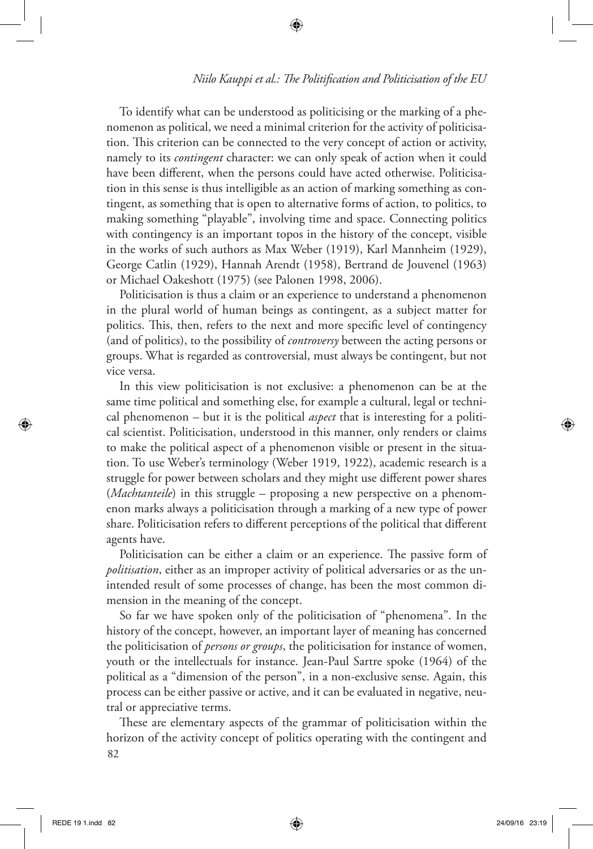To identify what can be understood as politicising or the marking of a phenomenon as political, we need a minimal criterion for the activity of politicisation. This criterion can be connected to the very concept of action or activity, namely to its *contingent* character: we can only speak of action when it could have been different, when the persons could have acted otherwise. Politicisation in this sense is thus intelligible as an action of marking something as contingent, as something that is open to alternative forms of action, to politics, to making something "playable", involving time and space. Connecting politics with contingency is an important topos in the history of the concept, visible in the works of such authors as Max Weber (1919), Karl Mannheim (1929), George Catlin (1929), Hannah Arendt (1958), Bertrand de Jouvenel (1963) or Michael Oakeshott (1975) (see Palonen 1998, 2006).

⊕

Politicisation is thus a claim or an experience to understand a phenomenon in the plural world of human beings as contingent, as a subject matter for politics. This, then, refers to the next and more specific level of contingency (and of politics), to the possibility of *controversy* between the acting persons or groups. What is regarded as controversial, must always be contingent, but not vice versa.

In this view politicisation is not exclusive: a phenomenon can be at the same time political and something else, for example a cultural, legal or technical phenomenon – but it is the political *aspect* that is interesting for a political scientist. Politicisation, understood in this manner, only renders or claims to make the political aspect of a phenomenon visible or present in the situation. To use Weber's terminology (Weber 1919, 1922), academic research is a struggle for power between scholars and they might use different power shares (*Machtanteile*) in this struggle – proposing a new perspective on a phenomenon marks always a politicisation through a marking of a new type of power share. Politicisation refers to different perceptions of the political that different agents have.

Politicisation can be either a claim or an experience. The passive form of *politisation*, either as an improper activity of political adversaries or as the unintended result of some processes of change, has been the most common dimension in the meaning of the concept.

So far we have spoken only of the politicisation of "phenomena". In the history of the concept, however, an important layer of meaning has concerned the politicisation of *persons or groups*, the politicisation for instance of women, youth or the intellectuals for instance. Jean-Paul Sartre spoke (1964) of the political as a "dimension of the person", in a non-exclusive sense. Again, this process can be either passive or active, and it can be evaluated in negative, neutral or appreciative terms.

82 These are elementary aspects of the grammar of politicisation within the horizon of the activity concept of politics operating with the contingent and

⊕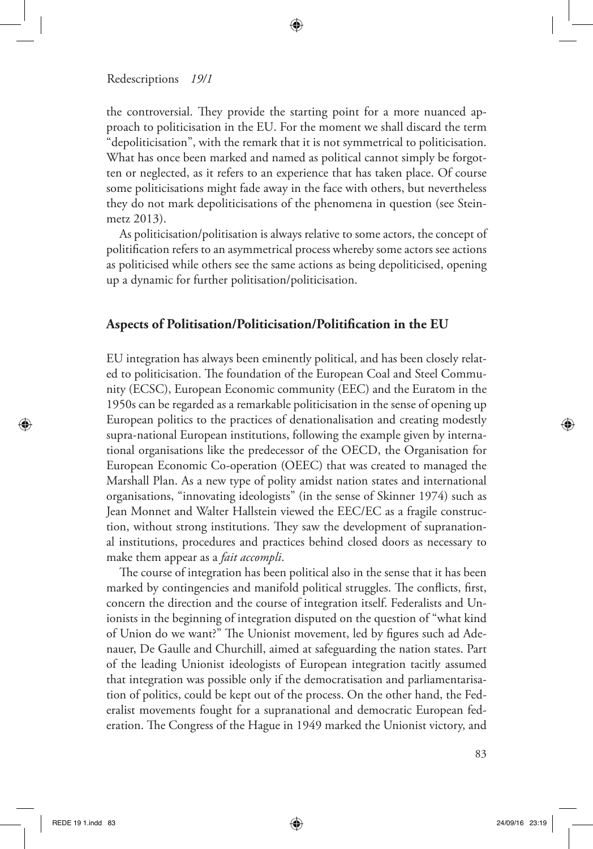the controversial. They provide the starting point for a more nuanced approach to politicisation in the EU. For the moment we shall discard the term "depoliticisation", with the remark that it is not symmetrical to politicisation. What has once been marked and named as political cannot simply be forgotten or neglected, as it refers to an experience that has taken place. Of course some politicisations might fade away in the face with others, but nevertheless they do not mark depoliticisations of the phenomena in question (see Steinmetz 2013).

↔

As politicisation/politisation is always relative to some actors, the concept of politification refers to an asymmetrical process whereby some actors see actions as politicised while others see the same actions as being depoliticised, opening up a dynamic for further politisation/politicisation.

## **Aspects of Politisation/Politicisation/Politification in the EU**

EU integration has always been eminently political, and has been closely related to politicisation. The foundation of the European Coal and Steel Community (ECSC), European Economic community (EEC) and the Euratom in the 1950s can be regarded as a remarkable politicisation in the sense of opening up European politics to the practices of denationalisation and creating modestly supra-national European institutions, following the example given by international organisations like the predecessor of the OECD, the Organisation for European Economic Co-operation (OEEC) that was created to managed the Marshall Plan. As a new type of polity amidst nation states and international organisations, "innovating ideologists" (in the sense of Skinner 1974) such as Jean Monnet and Walter Hallstein viewed the EEC/EC as a fragile construction, without strong institutions. They saw the development of supranational institutions, procedures and practices behind closed doors as necessary to make them appear as a *fait accompli*.

The course of integration has been political also in the sense that it has been marked by contingencies and manifold political struggles. The conflicts, first, concern the direction and the course of integration itself. Federalists and Unionists in the beginning of integration disputed on the question of "what kind of Union do we want?" The Unionist movement, led by figures such ad Adenauer, De Gaulle and Churchill, aimed at safeguarding the nation states. Part of the leading Unionist ideologists of European integration tacitly assumed that integration was possible only if the democratisation and parliamentarisation of politics, could be kept out of the process. On the other hand, the Federalist movements fought for a supranational and democratic European federation. The Congress of the Hague in 1949 marked the Unionist victory, and

⊕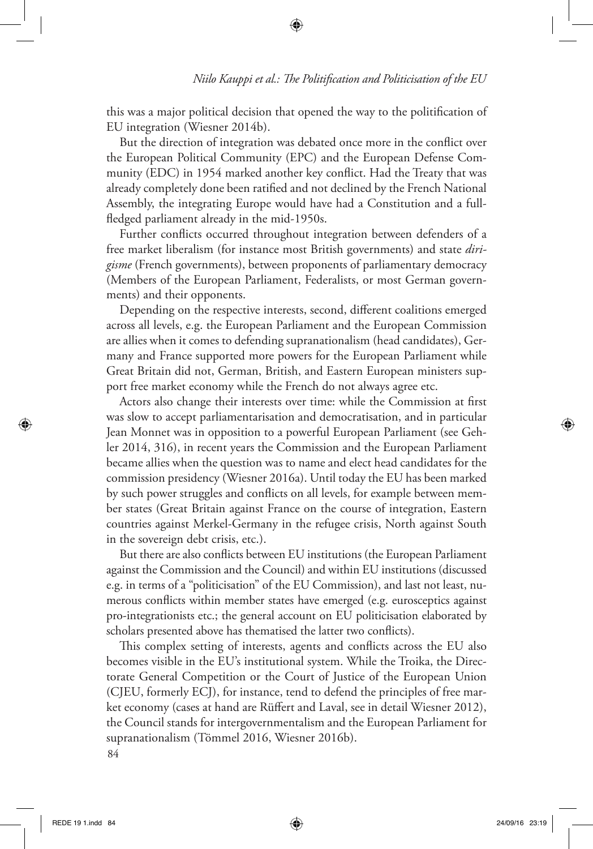this was a major political decision that opened the way to the politification of EU integration (Wiesner 2014b).

⊕

But the direction of integration was debated once more in the conflict over the European Political Community (EPC) and the European Defense Community (EDC) in 1954 marked another key conflict. Had the Treaty that was already completely done been ratified and not declined by the French National Assembly, the integrating Europe would have had a Constitution and a fullfledged parliament already in the mid-1950s.

Further conflicts occurred throughout integration between defenders of a free market liberalism (for instance most British governments) and state *dirigisme* (French governments), between proponents of parliamentary democracy (Members of the European Parliament, Federalists, or most German governments) and their opponents.

Depending on the respective interests, second, different coalitions emerged across all levels, e.g. the European Parliament and the European Commission are allies when it comes to defending supranationalism (head candidates), Germany and France supported more powers for the European Parliament while Great Britain did not, German, British, and Eastern European ministers support free market economy while the French do not always agree etc.

Actors also change their interests over time: while the Commission at first was slow to accept parliamentarisation and democratisation, and in particular Jean Monnet was in opposition to a powerful European Parliament (see Gehler 2014, 316), in recent years the Commission and the European Parliament became allies when the question was to name and elect head candidates for the commission presidency (Wiesner 2016a). Until today the EU has been marked by such power struggles and conflicts on all levels, for example between member states (Great Britain against France on the course of integration, Eastern countries against Merkel-Germany in the refugee crisis, North against South in the sovereign debt crisis, etc.).

But there are also conflicts between EU institutions (the European Parliament against the Commission and the Council) and within EU institutions (discussed e.g. in terms of a "politicisation" of the EU Commission), and last not least, numerous conflicts within member states have emerged (e.g. eurosceptics against pro-integrationists etc.; the general account on EU politicisation elaborated by scholars presented above has thematised the latter two conflicts).

84 This complex setting of interests, agents and conflicts across the EU also becomes visible in the EU's institutional system. While the Troika, the Directorate General Competition or the Court of Justice of the European Union (CJEU, formerly ECJ), for instance, tend to defend the principles of free market economy (cases at hand are Rüffert and Laval, see in detail Wiesner 2012), the Council stands for intergovernmentalism and the European Parliament for supranationalism (Tömmel 2016, Wiesner 2016b).

⊕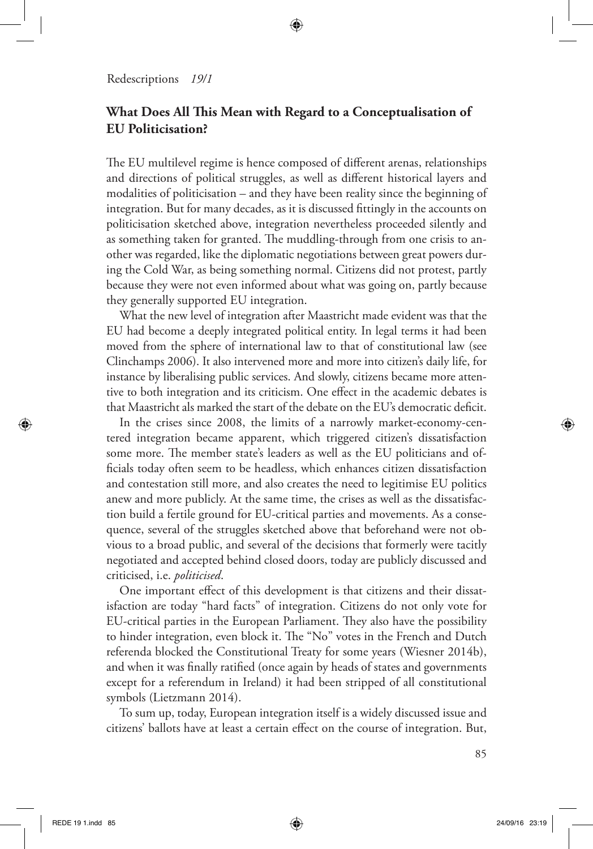# **What Does All This Mean with Regard to a Conceptualisation of EU Politicisation?**

⊕

The EU multilevel regime is hence composed of different arenas, relationships and directions of political struggles, as well as different historical layers and modalities of politicisation – and they have been reality since the beginning of integration. But for many decades, as it is discussed fittingly in the accounts on politicisation sketched above, integration nevertheless proceeded silently and as something taken for granted. The muddling-through from one crisis to another was regarded, like the diplomatic negotiations between great powers during the Cold War, as being something normal. Citizens did not protest, partly because they were not even informed about what was going on, partly because they generally supported EU integration.

What the new level of integration after Maastricht made evident was that the EU had become a deeply integrated political entity. In legal terms it had been moved from the sphere of international law to that of constitutional law (see Clinchamps 2006). It also intervened more and more into citizen's daily life, for instance by liberalising public services. And slowly, citizens became more attentive to both integration and its criticism. One effect in the academic debates is that Maastricht als marked the start of the debate on the EU's democratic deficit.

In the crises since 2008, the limits of a narrowly market-economy-centered integration became apparent, which triggered citizen's dissatisfaction some more. The member state's leaders as well as the EU politicians and officials today often seem to be headless, which enhances citizen dissatisfaction and contestation still more, and also creates the need to legitimise EU politics anew and more publicly. At the same time, the crises as well as the dissatisfaction build a fertile ground for EU-critical parties and movements. As a consequence, several of the struggles sketched above that beforehand were not obvious to a broad public, and several of the decisions that formerly were tacitly negotiated and accepted behind closed doors, today are publicly discussed and criticised, i.e. *politicised*.

One important effect of this development is that citizens and their dissatisfaction are today "hard facts" of integration. Citizens do not only vote for EU-critical parties in the European Parliament. They also have the possibility to hinder integration, even block it. The "No" votes in the French and Dutch referenda blocked the Constitutional Treaty for some years (Wiesner 2014b), and when it was finally ratified (once again by heads of states and governments except for a referendum in Ireland) it had been stripped of all constitutional symbols (Lietzmann 2014).

To sum up, today, European integration itself is a widely discussed issue and citizens' ballots have at least a certain effect on the course of integration. But,

⊕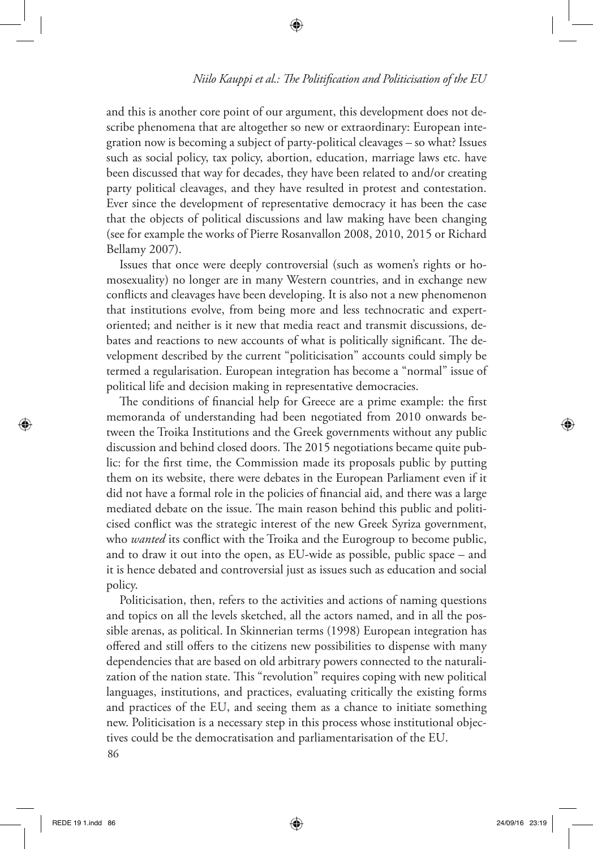and this is another core point of our argument, this development does not describe phenomena that are altogether so new or extraordinary: European integration now is becoming a subject of party-political cleavages – so what? Issues such as social policy, tax policy, abortion, education, marriage laws etc. have been discussed that way for decades, they have been related to and/or creating party political cleavages, and they have resulted in protest and contestation. Ever since the development of representative democracy it has been the case that the objects of political discussions and law making have been changing (see for example the works of Pierre Rosanvallon 2008, 2010, 2015 or Richard Bellamy 2007).

⊕

Issues that once were deeply controversial (such as women's rights or homosexuality) no longer are in many Western countries, and in exchange new conflicts and cleavages have been developing. It is also not a new phenomenon that institutions evolve, from being more and less technocratic and expertoriented; and neither is it new that media react and transmit discussions, debates and reactions to new accounts of what is politically significant. The development described by the current "politicisation" accounts could simply be termed a regularisation. European integration has become a "normal" issue of political life and decision making in representative democracies.

The conditions of financial help for Greece are a prime example: the first memoranda of understanding had been negotiated from 2010 onwards between the Troika Institutions and the Greek governments without any public discussion and behind closed doors. The 2015 negotiations became quite public: for the first time, the Commission made its proposals public by putting them on its website, there were debates in the European Parliament even if it did not have a formal role in the policies of financial aid, and there was a large mediated debate on the issue. The main reason behind this public and politicised conflict was the strategic interest of the new Greek Syriza government, who *wanted* its conflict with the Troika and the Eurogroup to become public, and to draw it out into the open, as EU-wide as possible, public space – and it is hence debated and controversial just as issues such as education and social policy.

86 Politicisation, then, refers to the activities and actions of naming questions and topics on all the levels sketched, all the actors named, and in all the possible arenas, as political. In Skinnerian terms (1998) European integration has offered and still offers to the citizens new possibilities to dispense with many dependencies that are based on old arbitrary powers connected to the naturalization of the nation state. This "revolution" requires coping with new political languages, institutions, and practices, evaluating critically the existing forms and practices of the EU, and seeing them as a chance to initiate something new. Politicisation is a necessary step in this process whose institutional objectives could be the democratisation and parliamentarisation of the EU.

⊕

⊕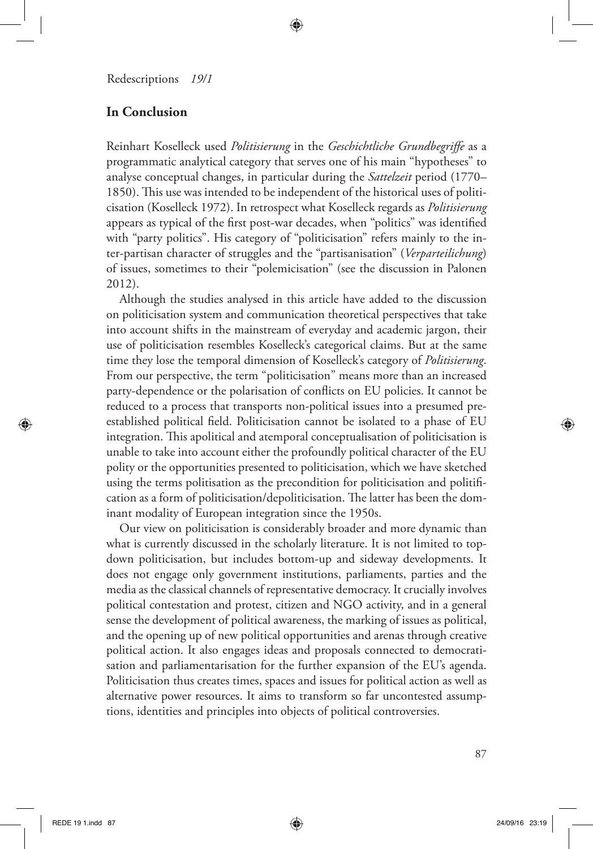# **In Conclusion**

Reinhart Koselleck used *Politisierung* in the *Geschichtliche Grundbegriffe* as a programmatic analytical category that serves one of his main "hypotheses" to analyse conceptual changes, in particular during the *Sattelzeit* period (1770– 1850). This use was intended to be independent of the historical uses of politicisation (Koselleck 1972). In retrospect what Koselleck regards as *Politisierung* appears as typical of the first post-war decades, when "politics" was identified with "party politics". His category of "politicisation" refers mainly to the inter-partisan character of struggles and the "partisanisation" (*Verparteilichung*) of issues, sometimes to their "polemicisation" (see the discussion in Palonen 2012).

⊕

Although the studies analysed in this article have added to the discussion on politicisation system and communication theoretical perspectives that take into account shifts in the mainstream of everyday and academic jargon, their use of politicisation resembles Koselleck's categorical claims. But at the same time they lose the temporal dimension of Koselleck's category of *Politisierung*. From our perspective, the term "politicisation" means more than an increased party-dependence or the polarisation of conflicts on EU policies. It cannot be reduced to a process that transports non-political issues into a presumed preestablished political field. Politicisation cannot be isolated to a phase of EU integration. This apolitical and atemporal conceptualisation of politicisation is unable to take into account either the profoundly political character of the EU polity or the opportunities presented to politicisation, which we have sketched using the terms politisation as the precondition for politicisation and politification as a form of politicisation/depoliticisation. The latter has been the dominant modality of European integration since the 1950s.

Our view on politicisation is considerably broader and more dynamic than what is currently discussed in the scholarly literature. It is not limited to topdown politicisation, but includes bottom-up and sideway developments. It does not engage only government institutions, parliaments, parties and the media as the classical channels of representative democracy. It crucially involves political contestation and protest, citizen and NGO activity, and in a general sense the development of political awareness, the marking of issues as political, and the opening up of new political opportunities and arenas through creative political action. It also engages ideas and proposals connected to democratisation and parliamentarisation for the further expansion of the EU's agenda. Politicisation thus creates times, spaces and issues for political action as well as alternative power resources. It aims to transform so far uncontested assumptions, identities and principles into objects of political controversies.

⊕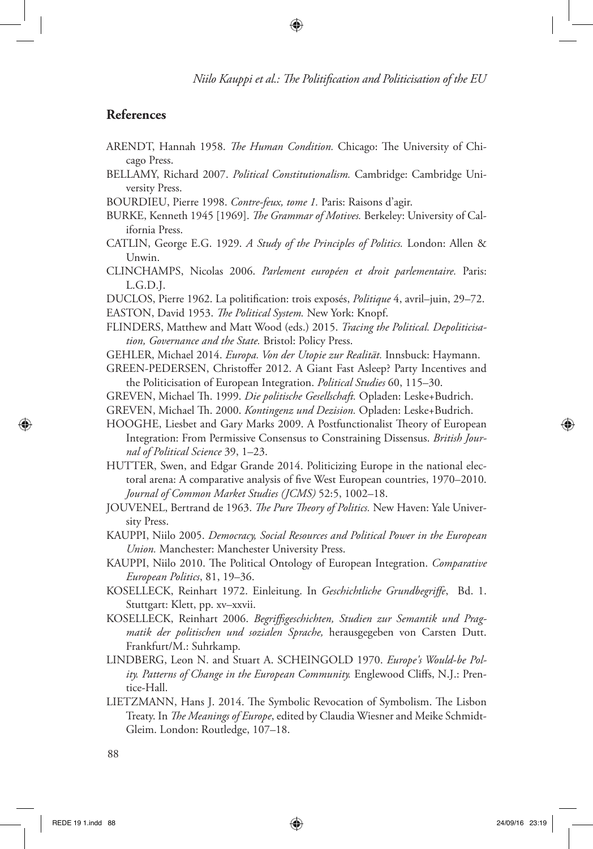# **References**

ARENDT, Hannah 1958. *The Human Condition.* Chicago: The University of Chicago Press.

⊕

- BELLAMY, Richard 2007. *Political Constitutionalism.* Cambridge: Cambridge University Press.
- BOURDIEU, Pierre 1998. *Contre-feux, tome 1.* Paris: Raisons d'agir.
- BURKE, Kenneth 1945 [1969]. *The Grammar of Motives.* Berkeley: University of California Press.
- CATLIN, George E.G. 1929. *A Study of the Principles of Politics.* London: Allen & Unwin.
- CLINCHAMPS, Nicolas 2006. *Parlement européen et droit parlementaire.* Paris: L.G.D.J.
- DUCLOS, Pierre 1962. La politification: trois exposés, *Politique* 4, avril–juin, 29–72.
- EASTON, David 1953. *The Political System.* New York: Knopf.
- FLINDERS, Matthew and Matt Wood (eds.) 2015. *Tracing the Political. Depoliticisation, Governance and the State.* Bristol: Policy Press.
- GEHLER, Michael 2014. *Europa. Von der Utopie zur Realität.* Innsbuck: Haymann.
- GREEN-PEDERSEN, Christoffer 2012. A Giant Fast Asleep? Party Incentives and the Politicisation of European Integration. *Political Studies* 60, 115–30.
- GREVEN, Michael Th. 1999. *Die politische Gesellschaft.* Opladen: Leske+Budrich.
- GREVEN, Michael Th. 2000. *Kontingenz und Dezision.* Opladen: Leske+Budrich.
- HOOGHE, Liesbet and Gary Marks 2009. A Postfunctionalist Theory of European Integration: From Permissive Consensus to Constraining Dissensus. *British Journal of Political Science* 39, 1–23.
- HUTTER, Swen, and Edgar Grande 2014. Politicizing Europe in the national electoral arena: A comparative analysis of five West European countries, 1970–2010. *Journal of Common Market Studies (JCMS)* 52:5, 1002–18.
- JOUVENEL, Bertrand de 1963. *The Pure Theory of Politics.* New Haven: Yale University Press.
- KAUPPI, Niilo 2005. *Democracy, Social Resources and Political Power in the European Union.* Manchester: Manchester University Press.
- KAUPPI, Niilo 2010. The Political Ontology of European Integration. *Comparative European Politics*, 81, 19–36.
- KOSELLECK, Reinhart 1972. Einleitung. In *Geschichtliche Grundbegriffe*, Bd. 1. Stuttgart: Klett, pp. xv–xxvii.
- KOSELLECK, Reinhart 2006. *Begriffsgeschichten, Studien zur Semantik und Pragmatik der politischen und sozialen Sprache,* herausgegeben von Carsten Dutt. Frankfurt/M.: Suhrkamp.
- LINDBERG, Leon N. and Stuart A. SCHEINGOLD 1970. *Europe's Would-be Polity. Patterns of Change in the European Community.* Englewood Cliffs, N.J.: Prentice-Hall.
- LIETZMANN, Hans J. 2014. The Symbolic Revocation of Symbolism. The Lisbon Treaty. In *The Meanings of Europe*, edited by Claudia Wiesner and Meike Schmidt-Gleim. London: Routledge, 107–18.

◈

<sup>88</sup>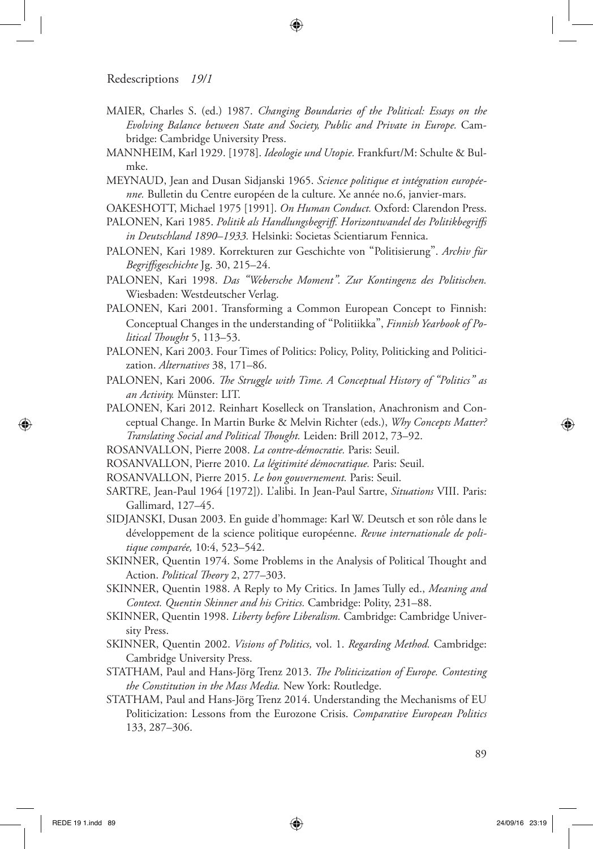MAIER, Charles S. (ed.) 1987. *Changing Boundaries of the Political: Essays on the Evolving Balance between State and Society, Public and Private in Europe.* Cambridge: Cambridge University Press.

⊕

- MANNHEIM, Karl 1929. [1978]. *Ideologie und Utopie.* Frankfurt/M: Schulte & Bulmke.
- MEYNAUD, Jean and Dusan Sidjanski 1965. *Science politique et intégration européenne.* Bulletin du Centre européen de la culture. Xe année no.6, janvier-mars.
- OAKESHOTT, Michael 1975 [1991]. *On Human Conduct.* Oxford: Clarendon Press.
- PALONEN, Kari 1985. *Politik als Handlungsbegriff. Horizontwandel des Politikbegriffs in Deutschland 1890–1933.* Helsinki: Societas Scientiarum Fennica.
- PALONEN, Kari 1989. Korrekturen zur Geschichte von "Politisierung". *Archiv für Begriffsgeschichte* Jg. 30, 215–24.
- PALONEN, Kari 1998. *Das "Webersche Moment". Zur Kontingenz des Politischen.*  Wiesbaden: Westdeutscher Verlag.
- PALONEN, Kari 2001. Transforming a Common European Concept to Finnish: Conceptual Changes in the understanding of "Politiikka", *Finnish Yearbook of Political Thought* 5, 113–53.
- PALONEN, Kari 2003. Four Times of Politics: Policy, Polity, Politicking and Politicization. *Alternatives* 38, 171–86.
- PALONEN, Kari 2006. *The Struggle with Time. A Conceptual History of "Politics" as an Activity.* Münster: LIT.
- PALONEN, Kari 2012. Reinhart Koselleck on Translation, Anachronism and Conceptual Change. In Martin Burke & Melvin Richter (eds.), *Why Concepts Matter? Translating Social and Political Thought.* Leiden: Brill 2012, 73–92.
- ROSANVALLON, Pierre 2008. *La contre-démocratie.* Paris: Seuil.
- ROSANVALLON, Pierre 2010. *La légitimité démocratique.* Paris: Seuil.
- ROSANVALLON, Pierre 2015. *Le bon gouvernement.* Paris: Seuil.
- SARTRE, Jean-Paul 1964 [1972]). L'alibi. In Jean-Paul Sartre, *Situations* VIII. Paris: Gallimard, 127–45.
- SIDJANSKI, Dusan 2003. En guide d'hommage: Karl W. Deutsch et son rôle dans le développement de la science politique européenne. *Revue internationale de politique comparée,* 10:4, 523–542.
- SKINNER, Quentin 1974. Some Problems in the Analysis of Political Thought and Action. *Political Theory* 2, 277–303.
- SKINNER, Quentin 1988. A Reply to My Critics. In James Tully ed., *Meaning and Context. Quentin Skinner and his Critics.* Cambridge: Polity, 231–88.
- SKINNER, Quentin 1998. *Liberty before Liberalism.* Cambridge: Cambridge University Press.
- SKINNER, Quentin 2002. *Visions of Politics,* vol. 1. *Regarding Method.* Cambridge: Cambridge University Press.
- STATHAM, Paul and Hans-Jörg Trenz 2013. *The Politicization of Europe. Contesting the Constitution in the Mass Media.* New York: Routledge.
- STATHAM, Paul and Hans-Jörg Trenz 2014. Understanding the Mechanisms of EU Politicization: Lessons from the Eurozone Crisis. *Comparative European Politics* 133, 287–306.

◈